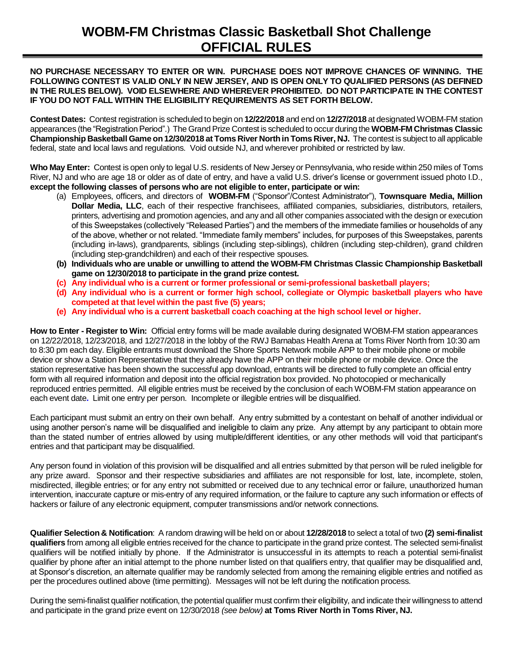## **WOBM-FM Christmas Classic Basketball Shot Challenge OFFICIAL RULES**

## **NO PURCHASE NECESSARY TO ENTER OR WIN. PURCHASE DOES NOT IMPROVE CHANCES OF WINNING. THE FOLLOWING CONTEST IS VALID ONLY IN NEW JERSEY, AND IS OPEN ONLY TO QUALIFIED PERSONS (AS DEFINED IN THE RULES BELOW). VOID ELSEWHERE AND WHEREVER PROHIBITED. DO NOT PARTICIPATE IN THE CONTEST IF YOU DO NOT FALL WITHIN THE ELIGIBILITY REQUIREMENTS AS SET FORTH BELOW.**

**Contest Dates:** Contest registration is scheduled to begin on **12/22/2018**and end on**12/27/2018**at designated WOBM-FM station appearances (the "Registration Period".) The Grand Prize Contest is scheduled to occur during the **WOBM-FM Christmas Classic Championship Basketball Game on 12/30/2018at Toms River Northin Toms River, NJ.** The contest is subject to all applicable federal, state and local laws and regulations. Void outside NJ, and wherever prohibited or restricted by law.

**Who May Enter:** Contest is open only to legal U.S. residents of New Jersey or Pennsylvania, who reside within 250 miles of Toms River, NJ and who are age 18 or older as of date of entry, and have a valid U.S. driver's license or government issued photo I.D., **except the following classes of persons who are not eligible to enter, participate or win:** 

- (a) Employees, officers, and directors of **WOBM-FM** ("Sponsor"/Contest Administrator"), **Townsquare Media, Million Dollar Media, LLC**, each of their respective franchisees, affiliated companies, subsidiaries, distributors, retailers, printers, advertising and promotion agencies, and any and all other companies associated with the design or execution of this Sweepstakes (collectively "Released Parties") and the members of the immediate families or households of any of the above, whether or not related. "Immediate family members" includes, for purposes of this Sweepstakes, parents (including in-laws), grandparents, siblings (including step-siblings), children (including step-children), grand children (including step-grandchildren) and each of their respective spouses.
- **(b) Individuals who are unable or unwilling to attend the WOBM-FM Christmas Classic Championship Basketball game on 12/30/2018 to participate in the grand prize contest.**
- **(c) Any individual who is a current or former professional or semi-professional basketball players;**
- **(d) Any individual who is a current or former high school, collegiate or Olympic basketball players who have competed at that level within the past five (5) years;**
- **(e) Any individual who is a current basketball coach coaching at the high school level or higher.**

**How to Enter - Register to Win:** Official entry forms will be made available during designated WOBM-FM station appearances on 12/22/2018, 12/23/2018, and 12/27/2018 in the lobby of the RWJ Barnabas Health Arena at Toms River North from 10:30 am to 8:30 pm each day. Eligible entrants must download the Shore Sports Network mobile APP to their mobile phone or mobile device or show a Station Representative that they already have the APP on their mobile phone or mobile device. Once the station representative has been shown the successful app download, entrants will be directed to fully complete an official entry form with all required information and deposit into the official registration box provided. No photocopied or mechanically reproduced entries permitted. All eligible entries must be received by the conclusion of each WOBM-FM station appearance on each event date**.** Limit one entry per person. Incomplete or illegible entries will be disqualified.

Each participant must submit an entry on their own behalf. Any entry submitted by a contestant on behalf of another individual or using another person's name will be disqualified and ineligible to claim any prize. Any attempt by any participant to obtain more than the stated number of entries allowed by using multiple/different identities, or any other methods will void that participant's entries and that participant may be disqualified.

Any person found in violation of this provision will be disqualified and all entries submitted by that person will be ruled ineligible for any prize award. Sponsor and their respective subsidiaries and affiliates are not responsible for lost, late, incomplete, stolen, misdirected, illegible entries; or for any entry not submitted or received due to any technical error or failure, unauthorized human intervention, inaccurate capture or mis-entry of any required information, or the failure to capture any such information or effects of hackers or failure of any electronic equipment, computer transmissions and/or network connections.

**Qualifier Selection & Notification**: A random drawing will be held on or about **12/28/2018**to select atotal of two**(2) semi-finalist qualifiers**from among all eligible entries received for the chance to participate in the grand prize contest. The selected semi-finalist qualifiers will be notified initially by phone. If the Administrator is unsuccessful in its attempts to reach a potential semi-finalist qualifier by phone after an initial attempt to the phone number listed on that qualifiers entry, that qualifier may be disqualified and, at Sponsor's discretion, an alternate qualifier may be randomly selected from among the remaining eligible entries and notified as per the procedures outlined above (time permitting). Messages will not be left during the notification process.

During the semi-finalist qualifier notification, the potential qualifier must confirm their eligibility, and indicate their willingness to attend and participate in the grand prize event on 12/30/2018 *(see below)* **at Toms River North in Toms River, NJ.**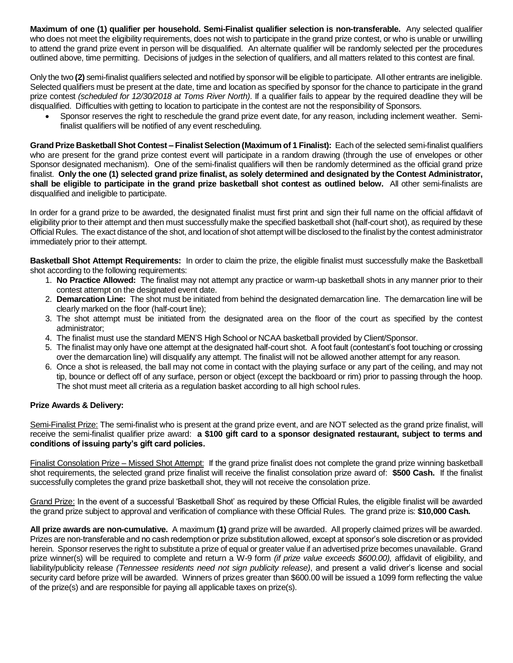**Maximum of one (1) qualifier per household. Semi-Finalist qualifier selection is non-transferable.** Any selected qualifier who does not meet the eligibility requirements, does not wish to participate in the grand prize contest, or who is unable or unwilling to attend the grand prize event in person will be disqualified. An alternate qualifier will be randomly selected per the procedures outlined above, time permitting. Decisions of judges in the selection of qualifiers, and all matters related to this contest are final.

Only the two**(2)** semi-finalist qualifiers selected and notified by sponsor will be eligible to participate. All other entrants are ineligible. Selected qualifiers must be present at the date, time and location as specified by sponsor for the chance to participate in the grand prize contest *(scheduled for 12/30/2018 at Toms River North)*. If a qualifier fails to appear by the required deadline they will be disqualified. Difficulties with getting to location to participate in the contest are not the responsibility of Sponsors.

• Sponsor reserves the right to reschedule the grand prize event date, for any reason, including inclement weather. Semifinalist qualifiers will be notified of any event rescheduling.

**Grand Prize Basketball Shot Contest – Finalist Selection (Maximum of 1 Finalist):** Each of the selected semi-finalist qualifiers who are present for the grand prize contest event will participate in a random drawing (through the use of envelopes or other Sponsor designated mechanism). One of the semi-finalist qualifiers will then be randomly determined as the official grand prize finalist. **Only the one (1) selected grand prize finalist, as solely determined and designated by the Contest Administrator, shall be eligible to participate in the grand prize basketball shot contest as outlined below.** All other semi-finalists are disqualified and ineligible to participate.

In order for a grand prize to be awarded, the designated finalist must first print and sign their full name on the official affidavit of eligibility prior to their attempt and then must successfully make the specified basketball shot (half-court shot), as required by these Official Rules. The exact distance of the shot, and location of shot attempt will be disclosed to the finalist by the contest administrator immediately prior to their attempt.

**Basketball Shot Attempt Requirements:** In order to claim the prize, the eligible finalist must successfully make the Basketball shot according to the following requirements:

- 1. **No Practice Allowed:** The finalist may not attempt any practice or warm-up basketball shots in any manner prior to their contest attempt on the designated event date.
- 2. **Demarcation Line:** The shot must be initiated from behind the designated demarcation line. The demarcation line will be clearly marked on the floor (half-court line);
- 3. The shot attempt must be initiated from the designated area on the floor of the court as specified by the contest administrator;
- 4. The finalist must use the standard MEN'S High School or NCAA basketball provided by Client/Sponsor.
- 5. The finalist may only have one attempt at the designated half-court shot. A foot fault (contestant's foot touching or crossing over the demarcation line) will disqualify any attempt. The finalist will not be allowed another attempt for any reason.
- 6. Once a shot is released, the ball may not come in contact with the playing surface or any part of the ceiling, and may not tip, bounce or deflect off of any surface, person or object (except the backboard or rim) prior to passing through the hoop. The shot must meet all criteria as a regulation basket according to all high school rules.

## **Prize Awards & Delivery:**

Semi-Finalist Prize: The semi-finalist who is present at the grand prize event, and are NOT selected as the grand prize finalist, will receive the semi-finalist qualifier prize award: **a \$100 gift card to a sponsor designated restaurant, subject to terms and conditions of issuing party's gift card policies.**

Finalist Consolation Prize – Missed Shot Attempt: If the grand prize finalist does not complete the grand prize winning basketball shot requirements, the selected grand prize finalist will receive the finalist consolation prize award of: **\$500 Cash.** If the finalist successfully completes the grand prize basketball shot, they will not receive the consolation prize.

Grand Prize: In the event of a successful 'Basketball Shot' as required by these Official Rules, the eligible finalist will be awarded the grand prize subject to approval and verification of compliance with these Official Rules. The grand prize is: **\$10,000 Cash.** 

**All prize awards are non-cumulative.** A maximum **(1)** grand prize will be awarded. All properly claimed prizes will be awarded. Prizes are non-transferable and no cash redemption or prize substitution allowed, except at sponsor's sole discretion or as provided herein. Sponsor reserves the right to substitute a prize of equal or greater value if an advertised prize becomes unavailable. Grand prize winner(s) will be required to complete and return a W-9 form *(if prize value exceeds \$600.00),* affidavit of eligibility, and liability/publicity release *(Tennessee residents need not sign publicity release)*, and present a valid driver's license and social security card before prize will be awarded. Winners of prizes greater than \$600.00 will be issued a 1099 form reflecting the value of the prize(s) and are responsible for paying all applicable taxes on prize(s).